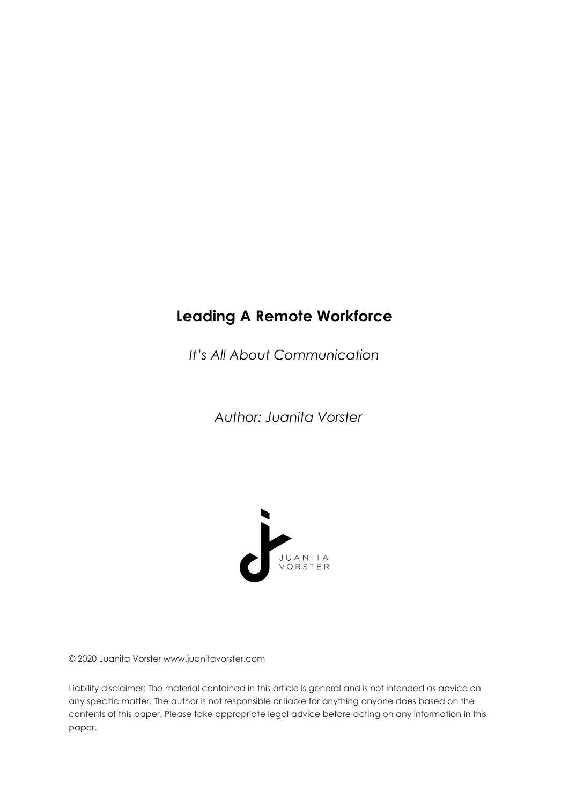# **Leading A Remote Workforce**

*It's All About Communication*

*Author: Juanita Vorster*



© 2020 Juanita Vorster www.juanitavorster.com

Liability disclaimer: The material contained in this article is general and is not intended as advice on any specific matter. The author is not responsible or liable for anything anyone does based on the contents of this paper. Please take appropriate legal advice before acting on any information in this paper.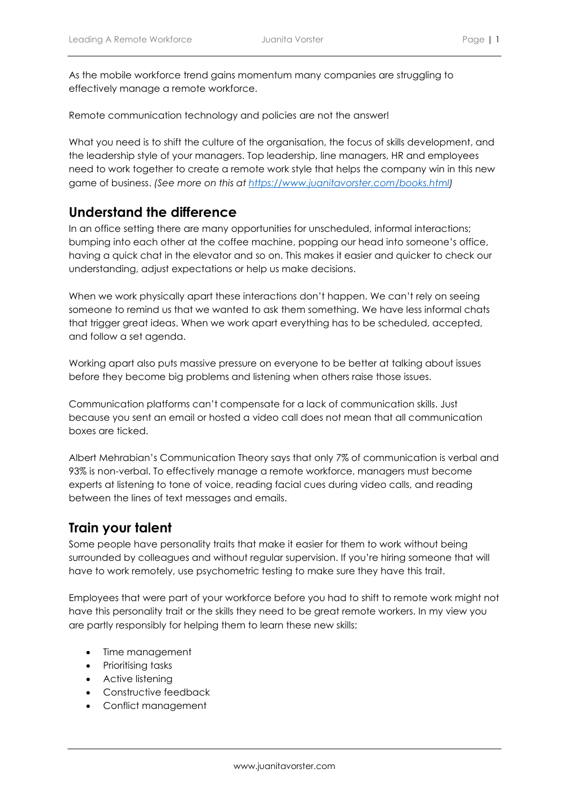As the mobile workforce trend gains momentum many companies are struggling to effectively manage a remote workforce.

Remote communication technology and policies are not the answer!

What you need is to shift the culture of the organisation, the focus of skills development, and the leadership style of your managers. Top leadership, line managers, HR and employees need to work together to create a remote work style that helps the company win in this new game of business. *(See more on this at https://www.juanitavorster.com/books.html)*

#### **Understand the difference**

In an office setting there are many opportunities for unscheduled, informal interactions; bumping into each other at the coffee machine, popping our head into someone's office, having a quick chat in the elevator and so on. This makes it easier and quicker to check our understanding, adjust expectations or help us make decisions.

When we work physically apart these interactions don't happen. We can't rely on seeing someone to remind us that we wanted to ask them something. We have less informal chats that trigger great ideas. When we work apart everything has to be scheduled, accepted, and follow a set agenda.

Working apart also puts massive pressure on everyone to be better at talking about issues before they become big problems and listening when others raise those issues.

Communication platforms can't compensate for a lack of communication skills. Just because you sent an email or hosted a video call does not mean that all communication boxes are ticked.

Albert Mehrabian's Communication Theory says that only 7% of communication is verbal and 93% is non-verbal. To effectively manage a remote workforce, managers must become experts at listening to tone of voice, reading facial cues during video calls, and reading between the lines of text messages and emails.

### **Train your talent**

Some people have personality traits that make it easier for them to work without being surrounded by colleagues and without regular supervision. If you're hiring someone that will have to work remotely, use psychometric testing to make sure they have this trait.

Employees that were part of your workforce before you had to shift to remote work might not have this personality trait or the skills they need to be great remote workers. In my view you are partly responsibly for helping them to learn these new skills:

- Time management
- Prioritising tasks
- Active listening
- Constructive feedback
- Conflict management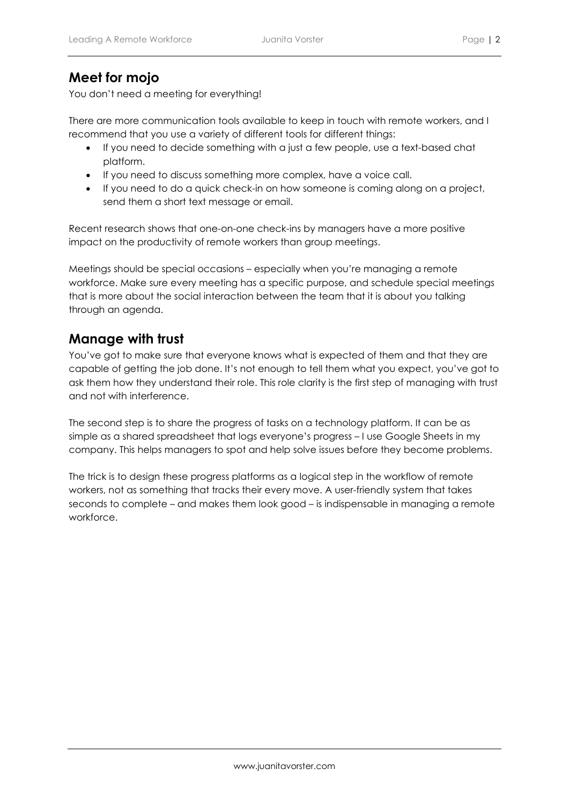## **Meet for mojo**

You don't need a meeting for everything!

There are more communication tools available to keep in touch with remote workers, and I recommend that you use a variety of different tools for different things:

- If you need to decide something with a just a few people, use a text-based chat platform.
- If you need to discuss something more complex, have a voice call.
- If you need to do a quick check-in on how someone is coming along on a project, send them a short text message or email.

Recent research shows that one-on-one check-ins by managers have a more positive impact on the productivity of remote workers than group meetings.

Meetings should be special occasions – especially when you're managing a remote workforce. Make sure every meeting has a specific purpose, and schedule special meetings that is more about the social interaction between the team that it is about you talking through an agenda.

#### **Manage with trust**

You've got to make sure that everyone knows what is expected of them and that they are capable of getting the job done. It's not enough to tell them what you expect, you've got to ask them how they understand their role. This role clarity is the first step of managing with trust and not with interference.

The second step is to share the progress of tasks on a technology platform. It can be as simple as a shared spreadsheet that logs everyone's progress – I use Google Sheets in my company. This helps managers to spot and help solve issues before they become problems.

The trick is to design these progress platforms as a logical step in the workflow of remote workers, not as something that tracks their every move. A user-friendly system that takes seconds to complete – and makes them look good – is indispensable in managing a remote workforce.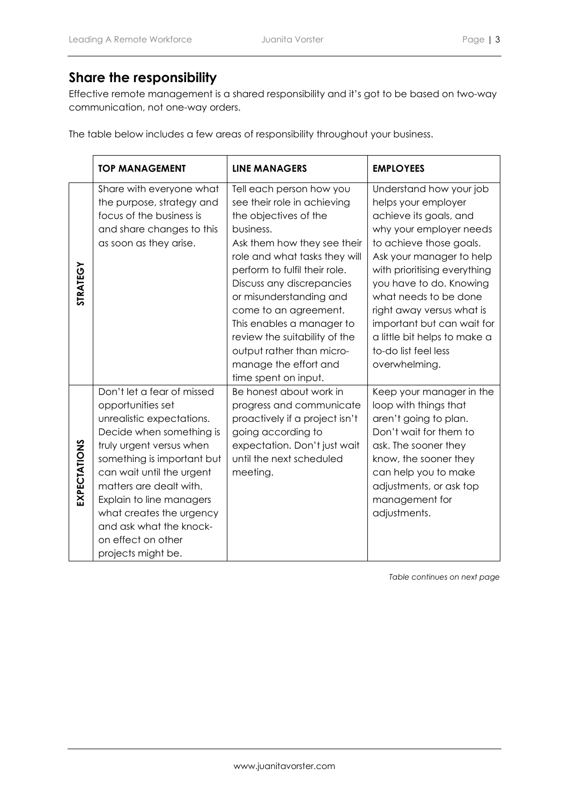#### **Share the responsibility**

Effective remote management is a shared responsibility and it's got to be based on two-way communication, not one-way orders.

The table below includes a few areas of responsibility throughout your business.

|                 | <b>TOP MANAGEMENT</b>                                                                                                                                                                                                                                                                                                                                     | <b>LINE MANAGERS</b>                                                                                                                                                                                                                                                                                                                                                                                                        | <b>EMPLOYEES</b>                                                                                                                                                                                                                                                                                                                                                                   |
|-----------------|-----------------------------------------------------------------------------------------------------------------------------------------------------------------------------------------------------------------------------------------------------------------------------------------------------------------------------------------------------------|-----------------------------------------------------------------------------------------------------------------------------------------------------------------------------------------------------------------------------------------------------------------------------------------------------------------------------------------------------------------------------------------------------------------------------|------------------------------------------------------------------------------------------------------------------------------------------------------------------------------------------------------------------------------------------------------------------------------------------------------------------------------------------------------------------------------------|
| <b>STRATEGY</b> | Share with everyone what<br>the purpose, strategy and<br>focus of the business is<br>and share changes to this<br>as soon as they arise.                                                                                                                                                                                                                  | Tell each person how you<br>see their role in achieving<br>the objectives of the<br>business.<br>Ask them how they see their<br>role and what tasks they will<br>perform to fulfil their role.<br>Discuss any discrepancies<br>or misunderstanding and<br>come to an agreement.<br>This enables a manager to<br>review the suitability of the<br>output rather than micro-<br>manage the effort and<br>time spent on input. | Understand how your job<br>helps your employer<br>achieve its goals, and<br>why your employer needs<br>to achieve those goals.<br>Ask your manager to help<br>with prioritising everything<br>you have to do. Knowing<br>what needs to be done<br>right away versus what is<br>important but can wait for<br>a little bit helps to make a<br>to-do list feel less<br>overwhelming. |
| EXPECTATIONS    | Don't let a fear of missed<br>opportunities set<br>unrealistic expectations.<br>Decide when something is<br>truly urgent versus when<br>something is important but<br>can wait until the urgent<br>matters are dealt with.<br>Explain to line managers<br>what creates the urgency<br>and ask what the knock-<br>on effect on other<br>projects might be. | Be honest about work in<br>progress and communicate<br>proactively if a project isn't<br>going according to<br>expectation. Don't just wait<br>until the next scheduled<br>meeting.                                                                                                                                                                                                                                         | Keep your manager in the<br>loop with things that<br>aren't going to plan.<br>Don't wait for them to<br>ask. The sooner they<br>know, the sooner they<br>can help you to make<br>adjustments, or ask top<br>management for<br>adjustments.                                                                                                                                         |

*Table continues on next page*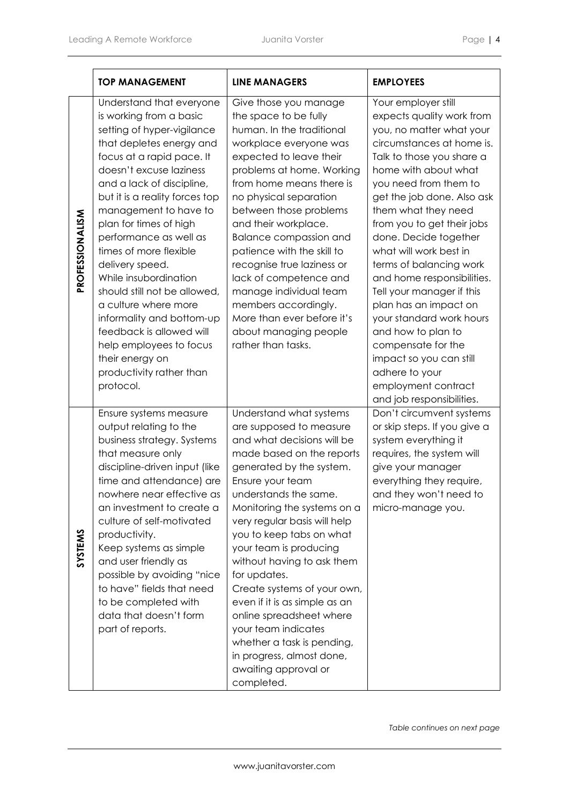|                 | <b>TOP MANAGEMENT</b>                                                                                                                                                                                                                                                                                                                                                                                                                                                                                                                                                                           | <b>LINE MANAGERS</b>                                                                                                                                                                                                                                                                                                                                                                                                                                                                                                                                                          | <b>EMPLOYEES</b>                                                                                                                                                                                                                                                                                                                                                                                                                                                                                                                                                                                                      |
|-----------------|-------------------------------------------------------------------------------------------------------------------------------------------------------------------------------------------------------------------------------------------------------------------------------------------------------------------------------------------------------------------------------------------------------------------------------------------------------------------------------------------------------------------------------------------------------------------------------------------------|-------------------------------------------------------------------------------------------------------------------------------------------------------------------------------------------------------------------------------------------------------------------------------------------------------------------------------------------------------------------------------------------------------------------------------------------------------------------------------------------------------------------------------------------------------------------------------|-----------------------------------------------------------------------------------------------------------------------------------------------------------------------------------------------------------------------------------------------------------------------------------------------------------------------------------------------------------------------------------------------------------------------------------------------------------------------------------------------------------------------------------------------------------------------------------------------------------------------|
| PROFESSIONALISM | Understand that everyone<br>is working from a basic<br>setting of hyper-vigilance<br>that depletes energy and<br>focus at a rapid pace. It<br>doesn't excuse laziness<br>and a lack of discipline,<br>but it is a reality forces top<br>management to have to<br>plan for times of high<br>performance as well as<br>times of more flexible<br>delivery speed.<br>While insubordination<br>should still not be allowed,<br>a culture where more<br>informality and bottom-up<br>feedback is allowed will<br>help employees to focus<br>their energy on<br>productivity rather than<br>protocol. | Give those you manage<br>the space to be fully<br>human. In the traditional<br>workplace everyone was<br>expected to leave their<br>problems at home. Working<br>from home means there is<br>no physical separation<br>between those problems<br>and their workplace.<br><b>Balance compassion and</b><br>patience with the skill to<br>recognise true laziness or<br>lack of competence and<br>manage individual team<br>members accordingly.<br>More than ever before it's<br>about managing people<br>rather than tasks.                                                   | Your employer still<br>expects quality work from<br>you, no matter what your<br>circumstances at home is.<br>Talk to those you share a<br>home with about what<br>you need from them to<br>get the job done. Also ask<br>them what they need<br>from you to get their jobs<br>done. Decide together<br>what will work best in<br>terms of balancing work<br>and home responsibilities.<br>Tell your manager if this<br>plan has an impact on<br>your standard work hours<br>and how to plan to<br>compensate for the<br>impact so you can still<br>adhere to your<br>employment contract<br>and job responsibilities. |
| SYSTEMS         | Ensure systems measure<br>output relating to the<br>business strategy. Systems<br>that measure only<br>discipline-driven input (like<br>time and attendance) are<br>nowhere near effective as<br>an investment to create a<br>culture of self-motivated<br>productivity.<br>Keep systems as simple<br>and user friendly as<br>possible by avoiding "nice<br>to have" fields that need<br>to be completed with<br>data that doesn't form<br>part of reports.                                                                                                                                     | Understand what systems<br>are supposed to measure<br>and what decisions will be<br>made based on the reports<br>generated by the system.<br>Ensure your team<br>understands the same.<br>Monitoring the systems on a<br>very regular basis will help<br>you to keep tabs on what<br>your team is producing<br>without having to ask them<br>for updates.<br>Create systems of your own,<br>even if it is as simple as an<br>online spreadsheet where<br>your team indicates<br>whether a task is pending,<br>in progress, almost done,<br>awaiting approval or<br>completed. | Don't circumvent systems<br>or skip steps. If you give a<br>system everything it<br>requires, the system will<br>give your manager<br>everything they require,<br>and they won't need to<br>micro-manage you.                                                                                                                                                                                                                                                                                                                                                                                                         |

*Table continues on next page*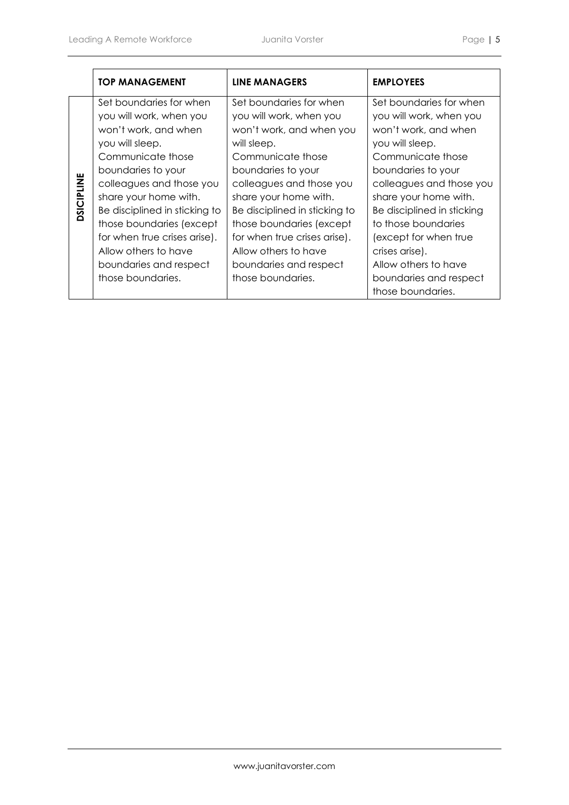|                   | <b>TOP MANAGEMENT</b>                                                                                                                                                                                                                                                                                                                                             | LINE MANAGERS                                                                                                                                                                                                                                                                                                                                                     | <b>EMPLOYEES</b>                                                                                                                                                                                                                                                                                                                                                     |
|-------------------|-------------------------------------------------------------------------------------------------------------------------------------------------------------------------------------------------------------------------------------------------------------------------------------------------------------------------------------------------------------------|-------------------------------------------------------------------------------------------------------------------------------------------------------------------------------------------------------------------------------------------------------------------------------------------------------------------------------------------------------------------|----------------------------------------------------------------------------------------------------------------------------------------------------------------------------------------------------------------------------------------------------------------------------------------------------------------------------------------------------------------------|
| <b>DSICIPLINE</b> | Set boundaries for when<br>you will work, when you<br>won't work, and when<br>you will sleep.<br>Communicate those<br>boundaries to your<br>colleagues and those you<br>share your home with.<br>Be disciplined in sticking to<br>those boundaries (except<br>for when true crises arise).<br>Allow others to have<br>boundaries and respect<br>those boundaries. | Set boundaries for when<br>you will work, when you<br>won't work, and when you<br>will sleep.<br>Communicate those<br>boundaries to your<br>colleagues and those you<br>share your home with.<br>Be disciplined in sticking to<br>those boundaries (except<br>for when true crises arise).<br>Allow others to have<br>boundaries and respect<br>those boundaries. | Set boundaries for when<br>you will work, when you<br>won't work, and when<br>you will sleep.<br>Communicate those<br>boundaries to your<br>colleagues and those you<br>share your home with.<br>Be disciplined in sticking<br>to those boundaries<br>(except for when true<br>crises arise).<br>Allow others to have<br>boundaries and respect<br>those boundaries. |